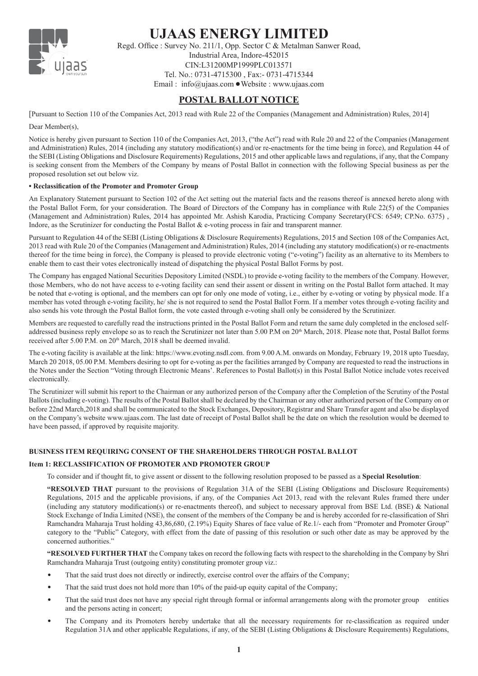

# **UJAAS ENERGY LIMITED**

Regd. Office : Survey No. 211/1, Opp. Sector C & Metalman Sanwer Road, Industrial Area, Indore-452015 CIN:L31200MP1999PLC013571 Tel. No.: 0731-4715300 , Fax:- 0731-4715344 Email:  $info@ujaas.com$  Website : www.ujaas.com

# **POSTAL BALLOT NOTICE**

[Pursuant to Section 110 of the Companies Act, 2013 read with Rule 22 of the Companies (Management and Administration) Rules, 2014] Dear Member(s).

Notice is hereby given pursuant to Section 110 of the Companies Act, 2013, ("the Act") read with Rule 20 and 22 of the Companies (Management and Administration) Rules, 2014 (including any statutory modification(s) and/or re-enactments for the time being in force), and Regulation 44 of the SEBI (Listing Obligations and Disclosure Requirements) Regulations, 2015 and other applicable laws and regulations, if any, that the Company is seeking consent from the Members of the Company by means of Postal Ballot in connection with the following Special business as per the proposed resolution set out below viz.

#### **• Reclassification of the Promoter and Promoter Group**

An Explanatory Statement pursuant to Section 102 of the Act setting out the material facts and the reasons thereof is annexed hereto along with the Postal Ballot Form, for your consideration. The Board of Directors of the Company has in compliance with Rule 22(5) of the Companies (Management and Administration) Rules, 2014 has appointed Mr. Ashish Karodia, Practicing Company Secretary(FCS: 6549; CP.No. 6375) , Indore, as the Scrutinizer for conducting the Postal Ballot & e-voting process in fair and transparent manner.

Pursuant to Regulation 44 of the SEBI (Listing Obligations & Disclosure Requirements) Regulations, 2015 and Section 108 of the Companies Act, 2013 read with Rule 20 of the Companies (Management and Administration) Rules, 2014 (including any statutory modification(s) or re-enactments thereof for the time being in force), the Company is pleased to provide electronic voting ("e-voting") facility as an alternative to its Members to enable them to cast their votes electronically instead of dispatching the physical Postal Ballot Forms by post.

The Company has engaged National Securities Depository Limited (NSDL) to provide e-voting facility to the members of the Company. However, those Members, who do not have access to e-voting facility can send their assent or dissent in writing on the Postal Ballot form attached. It may be noted that e-voting is optional, and the members can opt for only one mode of voting, i.e., either by e-voting or voting by physical mode. If a member has voted through e-voting facility, he/ she is not required to send the Postal Ballot Form. If a member votes through e-voting facility and also sends his vote through the Postal Ballot form, the vote casted through e-voting shall only be considered by the Scrutinizer.

Members are requested to carefully read the instructions printed in the Postal Ballot Form and return the same duly completed in the enclosed selfaddressed business reply envelope so as to reach the Scrutinizer not later than 5.00 P.M on 20<sup>th</sup> March, 2018. Please note that, Postal Ballot forms received after 5.00 P.M. on 20<sup>th</sup> March, 2018 shall be deemed invalid.

The e-voting facility is available at the link: https://www.evoting.nsdl.com. from 9.00 A.M. onwards on Monday, February 19, 2018 upto Tuesday, March 20 2018, 05.00 P.M. Members desiring to opt for e-voting as per the facilities arranged by Company are requested to read the instructions in the Notes under the Section "Voting through Electronic Means'. References to Postal Ballot(s) in this Postal Ballot Notice include votes received electronically.

The Scrutinizer will submit his report to the Chairman or any authorized person of the Company after the Completion of the Scrutiny of the Postal Ballots (including e-voting). The results of the Postal Ballot shall be declared by the Chairman or any other authorized person of the Company on or before 22nd March,2018 and shall be communicated to the Stock Exchanges, Depository, Registrar and Share Transfer agent and also be displayed on the Company's website www.ujaas.com. The last date of receipt of Postal Ballot shall be the date on which the resolution would be deemed to have been passed, if approved by requisite majority.

### **BUSINESS ITEM REQUIRING CONSENT OF THE SHAREHOLDERS THROUGH POSTAL BALLOT**

#### **Item 1: RECLASSIFICATION OF PROMOTER AND PROMOTER GROUP**

To consider and if thought fit, to give assent or dissent to the following resolution proposed to be passed as a **Special Resolution**:

**"RESOLVED THAT** pursuant to the provisions of Regulation 31A of the SEBI (Listing Obligations and Disclosure Requirements) Regulations, 2015 and the applicable provisions, if any, of the Companies Act 2013, read with the relevant Rules framed there under (including any statutory modification(s) or re-enactments thereof), and subject to necessary approval from BSE Ltd. (BSE) & National Stock Exchange of India Limited (NSE), the consent of the members of the Company be and is hereby accorded for re-classification of Shri Ramchandra Maharaja Trust holding 43,86,680, (2.19%) Equity Shares of face value of Re.1/- each from "Promoter and Promoter Group" category to the "Public" Category, with effect from the date of passing of this resolution or such other date as may be approved by the concerned authorities."

**"RESOLVED FURTHER THAT** the Company takes on record the following facts with respect to the shareholding in the Company by Shri Ramchandra Maharaja Trust (outgoing entity) constituting promoter group viz.:

- That the said trust does not directly or indirectly, exercise control over the affairs of the Company;
- That the said trust does not hold more than 10% of the paid-up equity capital of the Company;
- That the said trust does not have any special right through formal or informal arrangements along with the promoter group entities and the persons acting in concert;
- The Company and its Promoters hereby undertake that all the necessary requirements for re-classification as required under Regulation 31A and other applicable Regulations, if any, of the SEBI (Listing Obligations & Disclosure Requirements) Regulations,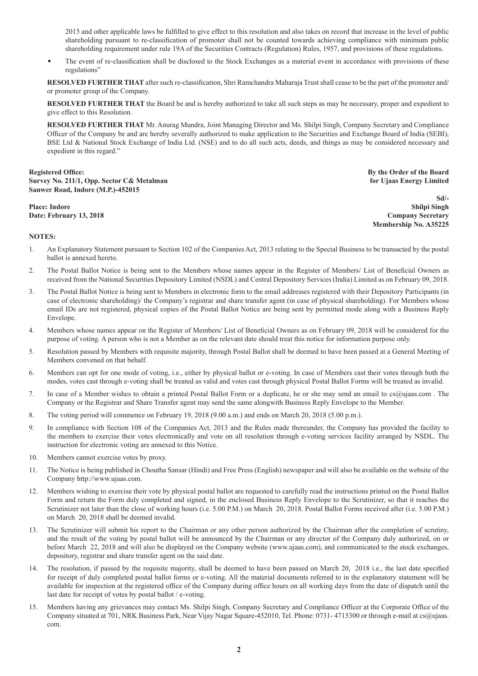2015 and other applicable laws be fulfilled to give effect to this resolution and also takes on record that increase in the level of public shareholding pursuant to re-classification of promoter shall not be counted towards achieving compliance with minimum public shareholding requirement under rule 19A of the Securities Contracts (Regulation) Rules, 1957, and provisions of these regulations.

The event of re-classification shall be disclosed to the Stock Exchanges as a material event in accordance with provisions of these regulations"

**RESOLVED FURTHER THAT** after such re-classification, Shri Ramchandra Maharaja Trust shall cease to be the part of the promoter and/ or promoter group of the Company.

**RESOLVED FURTHER THAT** the Board be and is hereby authorized to take all such steps as may be necessary, proper and expedient to give effect to this Resolution.

**RESOLVED FURTHER THAT** Mr. Anurag Mundra, Joint Managing Director and Ms. Shilpi Singh, Company Secretary and Compliance Officer of the Company be and are hereby severally authorized to make application to the Securities and Exchange Board of India (SEBI), BSE Ltd & National Stock Exchange of India Ltd. (NSE) and to do all such acts, deeds, and things as may be considered necessary and expedient in this regard."

#### Registered Office: By the Order of the Board<br> **By the Order of the Board Property No. 211/1, Opp. Sector C& Metalman Survey No. 211/1, Opp. Sector C& Metalman Sanwer Road, Indore (M.P.)-452015**

**Sd/- Place: Indore Shilpi Singh Date: February 13, 2018 Company Secretary Membership No. A35225**

#### **NOTES:**

- 1. An Explanatory Statement pursuant to Section 102 of the Companies Act, 2013 relating to the Special Business to be transacted by the postal ballot is annexed hereto.
- 2. The Postal Ballot Notice is being sent to the Members whose names appear in the Register of Members/ List of Beneficial Owners as received from the National Securities Depository Limited (NSDL) and Central Depository Services (India) Limited as on February 09, 2018.
- 3. The Postal Ballot Notice is being sent to Members in electronic form to the email addresses registered with their Depository Participants (in case of electronic shareholding)/ the Company's registrar and share transfer agent (in case of physical shareholding). For Members whose email IDs are not registered, physical copies of the Postal Ballot Notice are being sent by permitted mode along with a Business Reply Envelope.
- 4. Members whose names appear on the Register of Members/ List of Beneficial Owners as on February 09, 2018 will be considered for the purpose of voting. A person who is not a Member as on the relevant date should treat this notice for information purpose only.
- 5. Resolution passed by Members with requisite majority, through Postal Ballot shall be deemed to have been passed at a General Meeting of Members convened on that behalf.
- 6. Members can opt for one mode of voting, i.e., either by physical ballot or e-voting. In case of Members cast their votes through both the modes, votes cast through e-voting shall be treated as valid and votes cast through physical Postal Ballot Forms will be treated as invalid.
- 7. In case of a Member wishes to obtain a printed Postal Ballot Form or a duplicate, he or she may send an email to cs@ujaas.com . The Company or the Registrar and Share Transfer agent may send the same alongwith Business Reply Envelope to the Member.
- 8. The voting period will commence on February 19, 2018 (9.00 a.m.) and ends on March 20, 2018 (5.00 p.m.).
- 9. In compliance with Section 108 of the Companies Act, 2013 and the Rules made thereunder, the Company has provided the facility to the members to exercise their votes electronically and vote on all resolution through e-voting services facility arranged by NSDL. The instruction for electronic voting are annexed to this Notice.
- 10. Members cannot exercise votes by proxy.
- 11. The Notice is being published in Choutha Sansar (Hindi) and Free Press (English) newspaper and will also be available on the website of the Company http://www.ujaas.com.
- 12. Members wishing to exercise their vote by physical postal ballot are requested to carefully read the instructions printed on the Postal Ballot Form and return the Form duly completed and signed, in the enclosed Business Reply Envelope to the Scrutinizer, so that it reaches the Scrutinizer not later than the close of working hours (i.e. 5.00 P.M.) on March 20, 2018. Postal Ballot Forms received after (i.e. 5.00 P.M.) on March 20, 2018 shall be deemed invalid.
- 13. The Scrutinizer will submit his report to the Chairman or any other person authorized by the Chairman after the completion of scrutiny, and the result of the voting by postal ballot will be announced by the Chairman or any director of the Company duly authorized, on or before March 22, 2018 and will also be displayed on the Company website (www.ujaas.com), and communicated to the stock exchanges, depository, registrar and share transfer agent on the said date.
- 14. The resolution, if passed by the requisite majority, shall be deemed to have been passed on March 20, 2018 i.e., the last date specified for receipt of duly completed postal ballot forms or e-voting. All the material documents referred to in the explanatory statement will be available for inspection at the registered office of the Company during office hours on all working days from the date of dispatch until the last date for receipt of votes by postal ballot / e-voting.
- 15. Members having any grievances may contact Ms. Shilpi Singh, Company Secretary and Compliance Officer at the Corporate Office of the Company situated at 701, NRK Business Park, Near Vijay Nagar Square-452010, Tel. Phone: 0731- 4715300 or through e-mail at cs@ujaas. com.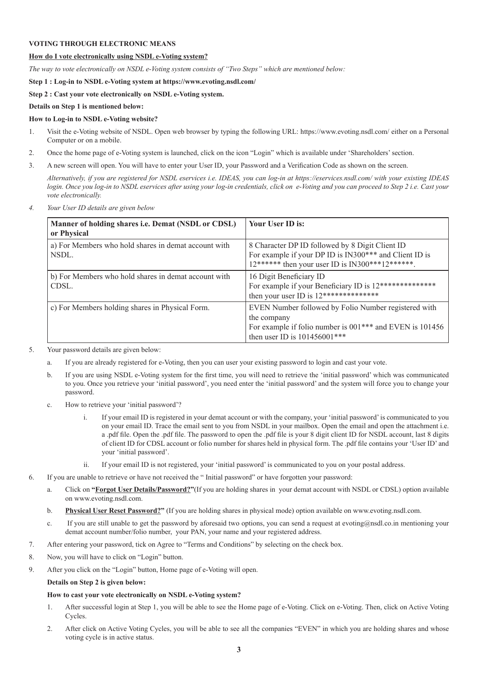#### **VOTING THROUGH ELECTRONIC MEANS**

#### **How do I vote electronically using NSDL e-Voting system?**

*The way to vote electronically on NSDL e-Voting system consists of "Two Steps" which are mentioned below:*

**Step 1 : Log-in to NSDL e-Voting system at https://www.evoting.nsdl.com/**

#### **Step 2 : Cast your vote electronically on NSDL e-Voting system.**

#### **Details on Step 1 is mentioned below:**

#### **How to Log-in to NSDL e-Voting website?**

- 1. Visit the e-Voting website of NSDL. Open web browser by typing the following URL: https://www.evoting.nsdl.com/ either on a Personal Computer or on a mobile.
- 2. Once the home page of e-Voting system is launched, click on the icon "Login" which is available under 'Shareholders' section.
- 3. A new screen will open. You will have to enter your User ID, your Password and a Verification Code as shown on the screen.

*Alternatively, if you are registered for NSDL eservices i.e. IDEAS, you can log-in at https://eservices.nsdl.com/ with your existing IDEAS login. Once you log-in to NSDL eservices after using your log-in credentials, click on e-Voting and you can proceed to Step 2 i.e. Cast your vote electronically.*

*4. Your User ID details are given below*

| Manner of holding shares i.e. Demat (NSDL or CDSL)<br>or Physical | Your User ID is:                                                                                                                                                              |
|-------------------------------------------------------------------|-------------------------------------------------------------------------------------------------------------------------------------------------------------------------------|
| a) For Members who hold shares in demat account with<br>NSDL.     | 8 Character DP ID followed by 8 Digit Client ID<br>For example if your DP ID is IN300*** and Client ID is<br>$12******$ then your user ID is IN300***12******.                |
| b) For Members who hold shares in demat account with<br>CDSL.     | 16 Digit Beneficiary ID<br>For example if your Beneficiary ID is 12***************<br>then your user ID is $12****************$                                               |
| c) For Members holding shares in Physical Form.                   | EVEN Number followed by Folio Number registered with<br>the company<br>For example if folio number is 001 <sup>***</sup> and EVEN is 101456<br>then user ID is $101456001***$ |

- 5. Your password details are given below:
	- a. If you are already registered for e-Voting, then you can user your existing password to login and cast your vote.
	- b. If you are using NSDL e-Voting system for the first time, you will need to retrieve the 'initial password' which was communicated to you. Once you retrieve your 'initial password', you need enter the 'initial password' and the system will force you to change your password.
	- c. How to retrieve your 'initial password'?
		- i. If your email ID is registered in your demat account or with the company, your 'initial password' is communicated to you on your email ID. Trace the email sent to you from NSDL in your mailbox. Open the email and open the attachment i.e. a .pdf file. Open the .pdf file. The password to open the .pdf file is your 8 digit client ID for NSDL account, last 8 digits of client ID for CDSL account or folio number for shares held in physical form. The .pdf file contains your 'User ID' and your 'initial password'.
		- ii. If your email ID is not registered, your 'initial password' is communicated to you on your postal address.
- 6. If you are unable to retrieve or have not received the " Initial password" or have forgotten your password:
	- a. Click on **"Forgot User Details/Password?"**(If you are holding shares in your demat account with NSDL or CDSL) option available on www.evoting.nsdl.com.
	- b. **Physical User Reset Password?"** (If you are holding shares in physical mode) option available on www.evoting.nsdl.com.
	- c. If you are still unable to get the password by aforesaid two options, you can send a request at evoting@nsdl.co.in mentioning your demat account number/folio number, your PAN, your name and your registered address.
- 7. After entering your password, tick on Agree to "Terms and Conditions" by selecting on the check box.
- 8. Now, you will have to click on "Login" button.
- 9. After you click on the "Login" button, Home page of e-Voting will open.

#### **Details on Step 2 is given below:**

#### **How to cast your vote electronically on NSDL e-Voting system?**

- 1. After successful login at Step 1, you will be able to see the Home page of e-Voting. Click on e-Voting. Then, click on Active Voting Cycles.
- 2. After click on Active Voting Cycles, you will be able to see all the companies "EVEN" in which you are holding shares and whose voting cycle is in active status.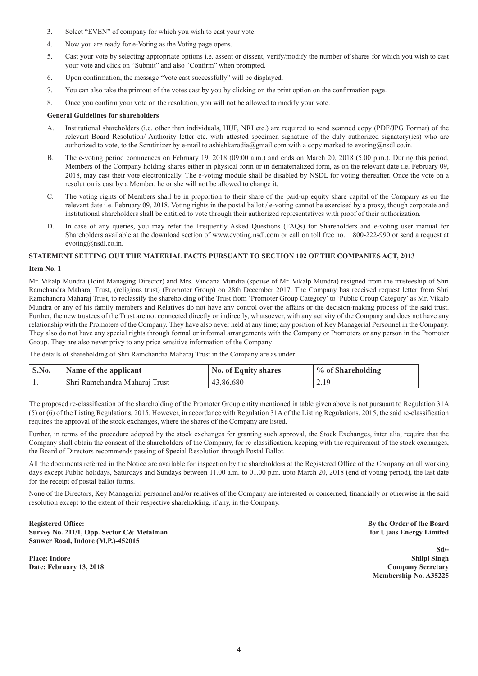- 3. Select "EVEN" of company for which you wish to cast your vote.
- 4. Now you are ready for e-Voting as the Voting page opens.
- 5. Cast your vote by selecting appropriate options i.e. assent or dissent, verify/modify the number of shares for which you wish to cast your vote and click on "Submit" and also "Confirm" when prompted.
- 6. Upon confirmation, the message "Vote cast successfully" will be displayed.
- 7. You can also take the printout of the votes cast by you by clicking on the print option on the confirmation page.
- 8. Once you confirm your vote on the resolution, you will not be allowed to modify your vote.

#### **General Guidelines for shareholders**

- A. Institutional shareholders (i.e. other than individuals, HUF, NRI etc.) are required to send scanned copy (PDF/JPG Format) of the relevant Board Resolution/ Authority letter etc. with attested specimen signature of the duly authorized signatory(ies) who are authorized to vote, to the Scrutinizer by e-mail to ashishkarodia@gmail.com with a copy marked to evoting@nsdl.co.in.
- B. The e-voting period commences on February 19, 2018 (09:00 a.m.) and ends on March 20, 2018 (5.00 p.m.). During this period, Members of the Company holding shares either in physical form or in dematerialized form, as on the relevant date i.e. February 09, 2018, may cast their vote electronically. The e-voting module shall be disabled by NSDL for voting thereafter. Once the vote on a resolution is cast by a Member, he or she will not be allowed to change it.
- C. The voting rights of Members shall be in proportion to their share of the paid-up equity share capital of the Company as on the relevant date i.e. February 09, 2018. Voting rights in the postal ballot / e-voting cannot be exercised by a proxy, though corporate and institutional shareholders shall be entitled to vote through their authorized representatives with proof of their authorization.
- D. In case of any queries, you may refer the Frequently Asked Questions (FAQs) for Shareholders and e-voting user manual for Shareholders available at the download section of www.evoting.nsdl.com or call on toll free no.: 1800-222-990 or send a request at evoting@nsdl.co.in.

#### **STATEMENT SETTING OUT THE MATERIAL FACTS PURSUANT TO SECTION 102 OF THE COMPANIES ACT, 2013**

#### **Item No. 1**

Mr. Vikalp Mundra (Joint Managing Director) and Mrs. Vandana Mundra (spouse of Mr. Vikalp Mundra) resigned from the trusteeship of Shri Ramchandra Maharaj Trust, (religious trust) (Promoter Group) on 28th December 2017. The Company has received request letter from Shri Ramchandra Maharaj Trust, to reclassify the shareholding of the Trust from 'Promoter Group Category' to 'Public Group Category' as Mr. Vikalp Mundra or any of his family members and Relatives do not have any control over the affairs or the decision-making process of the said trust. Further, the new trustees of the Trust are not connected directly or indirectly, whatsoever, with any activity of the Company and does not have any relationship with the Promoters of the Company. They have also never held at any time; any position of Key Managerial Personnel in the Company. They also do not have any special rights through formal or informal arrangements with the Company or Promoters or any person in the Promoter Group. They are also never privy to any price sensitive information of the Company

The details of shareholding of Shri Ramchandra Maharaj Trust in the Company are as under:

| $\mathbf{S}.\mathbf{No}$ . | Name of the applicant         | <b>No. of Equity shares</b> | % of Shareholding |
|----------------------------|-------------------------------|-----------------------------|-------------------|
|                            | Shri Ramchandra Maharaj Trust | 43,86,680                   | 2.19              |

The proposed re-classification of the shareholding of the Promoter Group entity mentioned in table given above is not pursuant to Regulation 31A (5) or (6) of the Listing Regulations, 2015. However, in accordance with Regulation 31A of the Listing Regulations, 2015, the said re-classification requires the approval of the stock exchanges, where the shares of the Company are listed.

Further, in terms of the procedure adopted by the stock exchanges for granting such approval, the Stock Exchanges, inter alia, require that the Company shall obtain the consent of the shareholders of the Company, for re-classification, keeping with the requirement of the stock exchanges, the Board of Directors recommends passing of Special Resolution through Postal Ballot.

All the documents referred in the Notice are available for inspection by the shareholders at the Registered Office of the Company on all working days except Public holidays, Saturdays and Sundays between 11.00 a.m. to 01.00 p.m. upto March 20, 2018 (end of voting period), the last date for the receipt of postal ballot forms.

None of the Directors, Key Managerial personnel and/or relatives of the Company are interested or concerned, financially or otherwise in the said resolution except to the extent of their respective shareholding, if any, in the Company.

**Registered Office:** By the Order of the Board **Board By the Order of the Board Survey No. 211/1, Opp. Sector C& Metalman for Ujaas Energy Limited Sanwer Road, Indore (M.P.)-452015**

**Place: Indore Shilpi Singh Date: February 13, 2018 Company Secretary**

**Sd/- Membership No. A35225**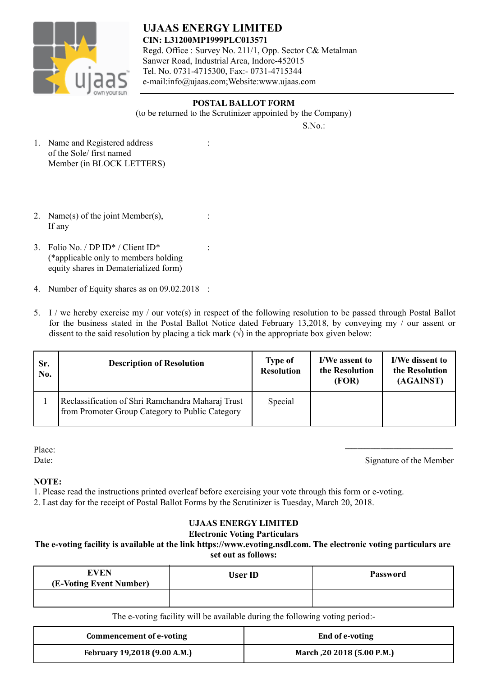

**UJAAS ENERGY LIMITED CIN: L31200MP1999PLC013571** Regd. Office : Survey No. 211/1, Opp. Sector C& Metalman Sanwer Road, Industrial Area, Indore-452015 Tel. No. 0731-4715300, Fax:- 0731-4715344 e-mail:info@ujaas.com;Website:www.ujaas.com

## $S.No.$ : **POSTAL BALLOT FORM** (to be returned to the Scrutinizer appointed by the Company)

- 1. Name and Registered address : of the Sole/ first named Member (in BLOCK LETTERS)
- 2. Name(s) of the joint Member(s),  $\therefore$ If any
- 3. Folio No. / DP ID\* / Client ID\* : (\*applicable only to members holding equity shares in Dematerialized form)
- 4. Number of Equity shares as on 09.02.2018 :
- 5. I / we hereby exercise my / our vote(s) in respect of the following resolution to be passed through Postal Ballot for the business stated in the Postal Ballot Notice dated February 13,2018, by conveying my / our assent or dissent to the said resolution by placing a tick mark  $(\sqrt{})$  in the appropriate box given below:

| Sr.<br>No. | <b>Description of Resolution</b>                                                                     | <b>Type of</b><br><b>Resolution</b> | I/We assent to<br>the Resolution<br>(FOR) | I/We dissent to<br>the Resolution<br>(AGAINST) |  |
|------------|------------------------------------------------------------------------------------------------------|-------------------------------------|-------------------------------------------|------------------------------------------------|--|
|            | Reclassification of Shri Ramchandra Maharaj Trust<br>from Promoter Group Category to Public Category | Special                             |                                           |                                                |  |

Place:

Place:<br>
Date: Signature of the Member

# **NOTE:**

1. Please read the instructions printed overleaf before exercising your vote through this form or e-voting.

2. Last day for the receipt of Postal Ballot Forms by the Scrutinizer is Tuesday, March 20, 2018.

# **UJAAS ENERGY LIMITED**

### **Electronic Voting Particulars**

### **The e-voting facility is available at the link https://www.evoting.nsdl.com. The electronic voting particulars are set out as follows:**

| <b>EVEN</b><br>(E-Voting Event Number) | <b>User ID</b> | <b>Password</b> |  |
|----------------------------------------|----------------|-----------------|--|
|                                        |                |                 |  |

The e-voting facility will be available during the following voting period:-

| Commencement of e-voting     | End of e-voting            |
|------------------------------|----------------------------|
| February 19,2018 (9.00 A.M.) | March, 20 2018 (5.00 P.M.) |